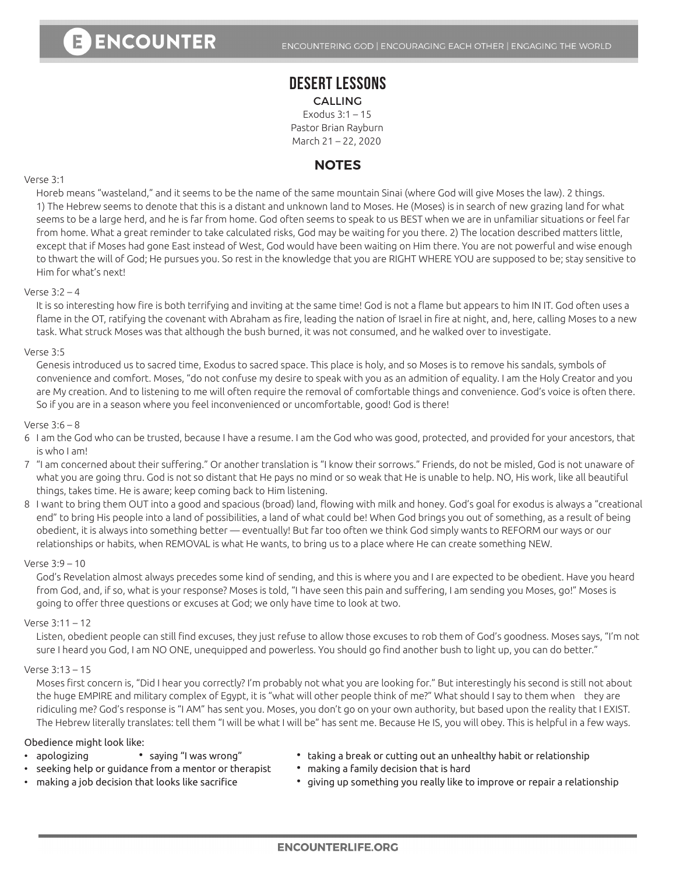## **DESERT LESSONS** CALLING

Exodus 3:1 – 15 Pastor Brian Rayburn March 21 – 22, 2020

# **NOTES**

## Verse 3:1

Horeb means "wasteland," and it seems to be the name of the same mountain Sinai (where God will give Moses the law). 2 things. 1) The Hebrew seems to denote that this is a distant and unknown land to Moses. He (Moses) is in search of new grazing land for what seems to be a large herd, and he is far from home. God often seems to speak to us BEST when we are in unfamiliar situations or feel far from home. What a great reminder to take calculated risks, God may be waiting for you there. 2) The location described matters little, except that if Moses had gone East instead of West, God would have been waiting on Him there. You are not powerful and wise enough to thwart the will of God; He pursues you. So rest in the knowledge that you are RIGHT WHERE YOU are supposed to be; stay sensitive to Him for what's next!

### Verse 3:2 – 4

 It is so interesting how fire is both terrifying and inviting at the same time! God is not a flame but appears to him IN IT. God often uses a flame in the OT, ratifying the covenant with Abraham as fire, leading the nation of Israel in fire at night, and, here, calling Moses to a new task. What struck Moses was that although the bush burned, it was not consumed, and he walked over to investigate.

### Verse 3:5

Genesis introduced us to sacred time, Exodus to sacred space. This place is holy, and so Moses is to remove his sandals, symbols of convenience and comfort. Moses, "do not confuse my desire to speak with you as an admition of equality. I am the Holy Creator and you are My creation. And to listening to me will often require the removal of comfortable things and convenience. God's voice is often there. So if you are in a season where you feel inconvenienced or uncomfortable, good! God is there!

### Verse 3:6 – 8

- 6 I am the God who can be trusted, because I have a resume. I am the God who was good, protected, and provided for your ancestors, that is who I am!
- 7 "I am concerned about their suffering." Or another translation is "I know their sorrows." Friends, do not be misled, God is not unaware of what you are going thru. God is not so distant that He pays no mind or so weak that He is unable to help. NO, His work, like all beautiful things, takes time. He is aware; keep coming back to Him listening.
- 8 I want to bring them OUT into a good and spacious (broad) land, flowing with milk and honey. God's goal for exodus is always a "creational end" to bring His people into a land of possibilities, a land of what could be! When God brings you out of something, as a result of being obedient, it is always into something better — eventually! But far too often we think God simply wants to REFORM our ways or our relationships or habits, when REMOVAL is what He wants, to bring us to a place where He can create something NEW.

## Verse 3:9 – 10

God's Revelation almost always precedes some kind of sending, and this is where you and I are expected to be obedient. Have you heard from God, and, if so, what is your response? Moses is told, "I have seen this pain and suffering, I am sending you Moses, go!" Moses is going to offer three questions or excuses at God; we only have time to look at two.

#### Verse 3:11 – 12

 Listen, obedient people can still find excuses, they just refuse to allow those excuses to rob them of God's goodness. Moses says, "I'm not sure I heard you God, I am NO ONE, unequipped and powerless. You should go find another bush to light up, you can do better."

#### Verse 3:13 – 15

 Moses first concern is, "Did I hear you correctly? I'm probably not what you are looking for." But interestingly his second is still not about the huge EMPIRE and military complex of Egypt, it is "what will other people think of me?" What should I say to them when they are ridiculing me? God's response is "I AM" has sent you. Moses, you don't go on your own authority, but based upon the reality that I EXIST. The Hebrew literally translates: tell them "I will be what I will be" has sent me. Because He IS, you will obey. This is helpful in a few ways.

#### Obedience might look like:

- 
- apologizing **∙** saying "I was wrong" **∙** taking a break or cutting out an unhealthy habit or relationship
- seeking help or guidance from a mentor or therapist **∙** making a family decision that is hard
- 
- 
- making a job decision that looks like sacrifice **∙** giving up something you really like to improve or repair a relationship